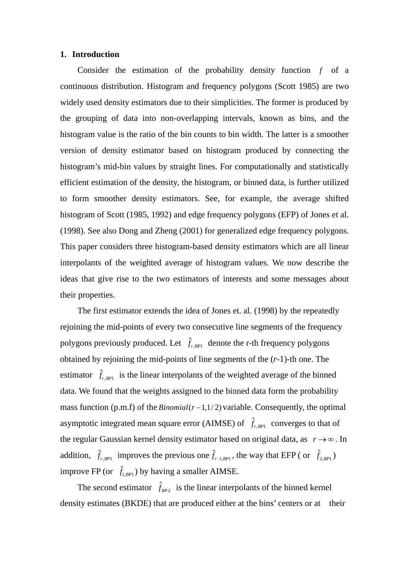#### **1. Introduction**

Consider the estimation of the probability density function *f* of a continuous distribution. Histogram and frequency polygons (Scott 1985) are two widely used density estimators due to their simplicities. The former is produced by the grouping of data into non-overlapping intervals, known as bins, and the histogram value is the ratio of the bin counts to bin width. The latter is a smoother version of density estimator based on histogram produced by connecting the histogram's mid-bin values by straight lines. For computationally and statistically efficient estimation of the density, the histogram, or binned data, is further utilized to form smoother density estimators. See, for example, the average shifted histogram of Scott (1985, 1992) and edge frequency polygons (EFP) of Jones et al. (1998). See also Dong and Zheng (2001) for generalized edge frequency polygons. This paper considers three histogram-based density estimators which are all linear interpolants of the weighted average of histogram values. We now describe the ideas that give rise to the two estimators of interests and some messages about their properties.

The first estimator extends the idea of Jones et. al. (1998) by the repeatedly rejoining the mid-points of every two consecutive line segments of the frequency polygons previously produced. Let  $\hat{f}_{r, BP1}$  denote the r-th frequency polygons obtained by rejoining the mid-points of line segments of the (*r*-1)-th one. The estimator  $\hat{f}_{r, BP1}$  is the linear interpolants of the weighted average of the binned data. We found that the weights assigned to the binned data form the probability mass function (p.m.f) of the  $Binomial(r-1,1/2)$  variable. Consequently, the optimal asymptotic integrated mean square error (AIMSE) of  $\hat{f}_{r, BP1}$  converges to that of the regular Gaussian kernel density estimator based on original data, as  $r \rightarrow \infty$ . In addition,  $\hat{f}_{r, BP1}$  improves the previous one  $\hat{f}_{r-1, BP1}$ , the way that EFP (or  $\hat{f}_{2, BP1}$ ) improve FP (or  $\hat{f}_{1, BP1}$ ) by having a smaller AIMSE.

The second estimator  $\hat{f}_{BP_2}$  is the linear interpolants of the binned kernel density estimates (BKDE) that are produced either at the bins' centers or at their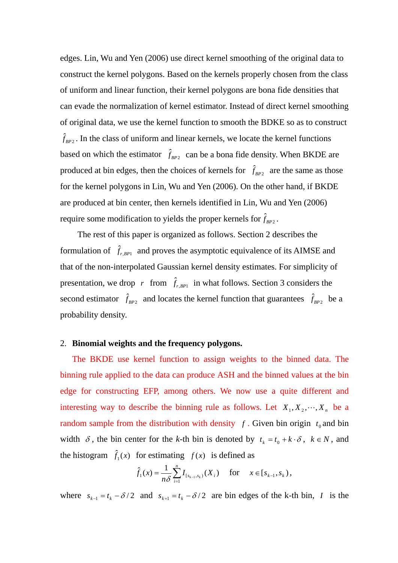edges. Lin, Wu and Yen (2006) use direct kernel smoothing of the original data to construct the kernel polygons. Based on the kernels properly chosen from the class of uniform and linear function, their kernel polygons are bona fide densities that can evade the normalization of kernel estimator. Instead of direct kernel smoothing of original data, we use the kernel function to smooth the BDKE so as to construct  $\hat{f}_{BP2}$ . In the class of uniform and linear kernels, we locate the kernel functions based on which the estimator  $\hat{f}_{BP_2}$  can be a bona fide density. When BKDE are produced at bin edges, then the choices of kernels for  $\hat{f}_{BP_2}$  are the same as those for the kernel polygons in Lin, Wu and Yen (2006). On the other hand, if BKDE are produced at bin center, then kernels identified in Lin, Wu and Yen (2006) require some modification to yields the proper kernels for  $\hat{f}_{BP2}$ .

The rest of this paper is organized as follows. Section 2 describes the formulation of  $\hat{f}_{r, BP1}$  and proves the asymptotic equivalence of its AIMSE and that of the non-interpolated Gaussian kernel density estimates. For simplicity of presentation, we drop *r* from  $\hat{f}_{r, BP1}$  in what follows. Section 3 considers the second estimator  $\hat{f}_{BP_2}$  and locates the kernel function that guarantees  $\hat{f}_{BP_2}$  be a probability density.

### 2. **Binomial weights and the frequency polygons.**

The BKDE use kernel function to assign weights to the binned data. The binning rule applied to the data can produce ASH and the binned values at the bin edge for constructing EFP, among others. We now use a quite different and interesting way to describe the binning rule as follows. Let  $X_1, X_2, \dots, X_n$  be a random sample from the distribution with density  $f$ . Given bin origin  $t_0$  and bin width  $\delta$ , the bin center for the *k*-th bin is denoted by  $t_k = t_0 + k \cdot \delta$ ,  $k \in N$ , and the histogram  $\hat{f}_1(x)$  for estimating  $f(x)$  is defined as

$$
\hat{f}_1(x) = \frac{1}{n\delta} \sum_{i=1}^n I_{[s_{k-1}, s_k)}(X_i)
$$
 for  $x \in [s_{k-1}, s_k)$ ,

where  $s_{k-1} = t_k - \delta/2$  and  $s_{k+1} = t_k - \delta/2$  are bin edges of the k-th bin, *I* is the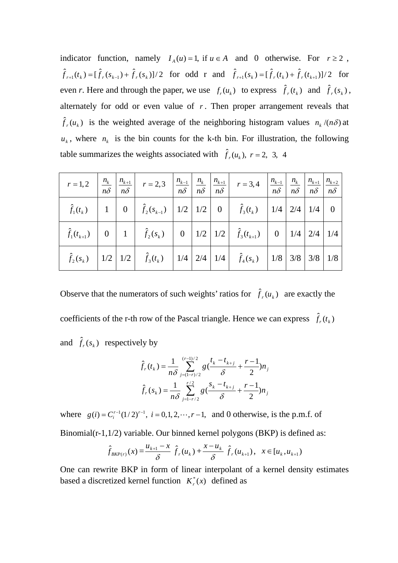indicator function, namely  $I_A(u) = 1$ , if  $u \in A$  and 0 otherwise. For  $r \ge 2$ ,  $\hat{f}_{r+1}(t_k) = [\hat{f}_r(s_{k-1}) + \hat{f}_r(s_k)]/2$  for odd r and  $\hat{f}_{r+1}(s_k) = [\hat{f}_r(t_k) + \hat{f}_r(t_{k+1})]/2$  for even *r*. Here and through the paper, we use  $f_r(u_k)$  to express  $\hat{f}_r(t_k)$  and  $\hat{f}_r(s_k)$ , alternately for odd or even value of  $r$ . Then proper arrangement reveals that  $\hat{f}_r(u_k)$  is the weighted average of the neighboring histogram values  $n_k/(n\delta)$  at  $u_k$ , where  $n_k$  is the bin counts for the k-th bin. For illustration, the following table summarizes the weights associated with  $\hat{f}_r(u_k)$ ,  $r = 2$ , 3, 4

| $r = 1, 2$           | $\frac{n_k}{n\delta}$ | $n_{k+1}$<br>$\overline{n\delta}$ | $r = 2,3$                                                                                                    | $\left \frac{n_{k-1}}{n\delta}\right $ | $n_{k}$<br>$\overline{n\delta}$ | $n\delta$ | $\left  \frac{n_{k+1}}{r} \right $ $r = 3, 4$ | $\frac{n_{k-1}}{n\delta}$ | $n_{k}$<br>$n\delta$ | $n_{k+1}$<br>$n\delta$ | $n_{k+2}$<br>$n\delta$ |
|----------------------|-----------------------|-----------------------------------|--------------------------------------------------------------------------------------------------------------|----------------------------------------|---------------------------------|-----------|-----------------------------------------------|---------------------------|----------------------|------------------------|------------------------|
| $\hat{f}_1(t_k)$     |                       |                                   | $\hat{I}$   0   $\hat{f}_2(s_{k-1})$   $1/2$   $1/2$   0   $\hat{f}_3(t_k)$   $1/4$   $2/4$   $1/4$          |                                        |                                 |           |                                               |                           |                      |                        | $\overline{0}$         |
| $\hat{f}_1(t_{k+1})$ |                       |                                   | 0   1   $\hat{f}_2(s_k)$   0   1/2   1/2   $\hat{f}_3(t_{k+1})$   0   1/4   2/4   1/4                        |                                        |                                 |           |                                               |                           |                      |                        |                        |
|                      |                       |                                   | $\hat{f}_2(s_k)$   1/2   1/2   $\hat{f}_3(t_k)$   1/4   2/4   1/4   $\hat{f}_4(s_k)$   1/8   3/8   3/8   1/8 |                                        |                                 |           |                                               |                           |                      |                        |                        |

Observe that the numerators of such weights' ratios for  $\hat{f}_r(u_k)$  are exactly the coefficients of the r-th row of the Pascal triangle. Hence we can express  $\hat{f}_r(t_k)$ and  $\hat{f}_r(s_k)$  respectively by

$$
\hat{f}_r(t_k) = \frac{1}{n\delta} \sum_{j=(1-r)/2}^{(r-1)/2} g\left(\frac{t_k - t_{k+j}}{\delta} + \frac{r-1}{2}\right) n_j
$$

$$
\hat{f}_r(s_k) = \frac{1}{n\delta} \sum_{j=1-r/2}^{r/2} g\left(\frac{s_k - t_{k+j}}{\delta} + \frac{r-1}{2}\right) n_j
$$

where  $g(i) = C_i^{r-1}(1/2)^{r-1}$ ,  $i = 0, 1, 2, \dots, r-1$ , and 0 otherwise, is the p.m.f. of Binomial(r-1,1/2) variable. Our binned kernel polygons (BKP) is defined as:

$$
\hat{f}_{BKP(r)}(x) = \frac{u_{k+1} - x}{\delta} \hat{f}_r(u_k) + \frac{x - u_k}{\delta} \hat{f}_r(u_{k+1}), \quad x \in [u_k, u_{k+1})
$$

One can rewrite BKP in form of linear interpolant of a kernel density estimates based a discretized kernel function  $K_r^*(x)$  defined as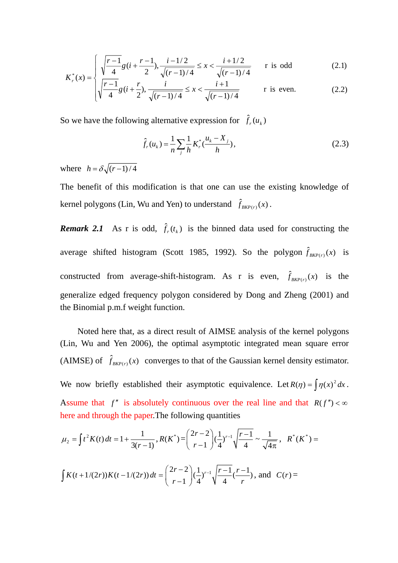$$
K_r^*(x) = \begin{cases} \sqrt{\frac{r-1}{4}} g(i + \frac{r-1}{2}), \frac{i-1/2}{\sqrt{(r-1)/4}} \le x < \frac{i+1/2}{\sqrt{(r-1)/4}} & \text{r is odd} \\ 0 & \text{if } 1 \end{cases}
$$
 (2.1)

$$
\sqrt{\frac{r-1}{4}g(i+\frac{r}{2})}, \frac{i}{\sqrt{(r-1)/4}} \le x < \frac{i+1}{\sqrt{(r-1)/4}} \qquad \text{r is even.} \tag{2.2}
$$

So we have the following alternative expression for  $\hat{f}_r(u_k)$ 

$$
\hat{f}_r(u_k) = \frac{1}{n} \sum_j \frac{1}{h} K_r^* \left( \frac{u_k - X_j}{h} \right),\tag{2.3}
$$

where  $h = \delta \sqrt{(r-1)/4}$ 

The benefit of this modification is that one can use the existing knowledge of kernel polygons (Lin, Wu and Yen) to understand  $\hat{f}_{BKP(r)}(x)$ .

**Remark 2.1** As r is odd,  $\hat{f}_r(t_k)$  is the binned data used for constructing the average shifted histogram (Scott 1985, 1992). So the polygon  $\hat{f}_{BKP(r)}(x)$  is constructed from average-shift-histogram. As r is even,  $\hat{f}_{BKP(r)}(x)$  is the generalize edged frequency polygon considered by Dong and Zheng (2001) and the Binomial p.m.f weight function.

Noted here that, as a direct result of AIMSE analysis of the kernel polygons (Lin, Wu and Yen 2006), the optimal asymptotic integrated mean square error (AIMSE) of  $\hat{f}_{BKP(r)}(x)$  converges to that of the Gaussian kernel density estimator. We now briefly established their asymptotic equivalence. Let  $R(\eta) = \int \eta(x)^2 dx$ . Assume that  $f''$  is absolutely continuous over the real line and that  $R(f'') < \infty$ here and through the paper.The following quantities

$$
\mu_2 = \int t^2 K(t) dt = 1 + \frac{1}{3(r-1)}, R(K^*) = \binom{2r-2}{r-1} (\frac{1}{4})^{r-1} \sqrt{\frac{r-1}{4}} \sim \frac{1}{\sqrt{4\pi}}, \ R^*(K^*) =
$$
  

$$
\int K(t+1/(2r)) K(t-1/(2r)) dt = \binom{2r-2}{r-1} (\frac{1}{4})^{r-1} \sqrt{\frac{r-1}{4}} (\frac{r-1}{r}), \text{ and } C(r) =
$$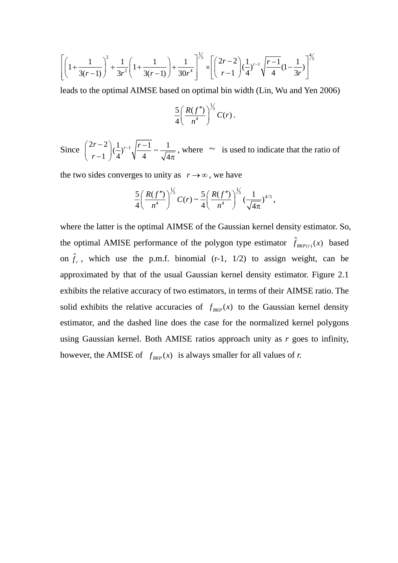$$
\left[ \left( 1 + \frac{1}{3(r-1)} \right)^2 + \frac{1}{3r^2} \left( 1 + \frac{1}{3(r-1)} \right) + \frac{1}{30r^4} \right]^{1/5} \times \left[ \left( \frac{2r-2}{r-1} \right) \left( \frac{1}{4} \right)^{r-1} \sqrt{\frac{r-1}{4}} (1 - \frac{1}{3r}) \right]^{1/5}
$$

leads to the optimal AIMSE based on optimal bin width (Lin, Wu and Yen 2006)

$$
\frac{5}{4}\left(\frac{R(f'')}{n^4}\right)^{\frac{1}{5}}C(r).
$$

Since  $\binom{2r-2}{r-1} (\frac{1}{4})^{r-1} \sqrt{\frac{r-1}{4}} \sim \frac{1}{\sqrt{4}}$  $\binom{2r-2}{r-1}$  $\left(\frac{1}{4}\right)^{r-1}$  $\sqrt{\frac{r-1}{4}} \sim \frac{1}{\sqrt{4}}$  $(r-1)^4$   $V$  4  $\sqrt{4\pi}$ , where  $\sim$  is used to indicate that the ratio of

the two sides converges to unity as  $r \to \infty$ , we have

$$
\frac{5}{4} \left( \frac{R(f'')}{n^4} \right)^{1/5} C(r) \sim \frac{5}{4} \left( \frac{R(f'')}{n^4} \right)^{1/5} \left( \frac{1}{\sqrt{4\pi}} \right)^{4/5},
$$

where the latter is the optimal AIMSE of the Gaussian kernel density estimator. So, the optimal AMISE performance of the polygon type estimator  $\hat{f}_{BKP(r)}(x)$  based on  $\hat{f}_r$ , which use the p.m.f. binomial (r-1, 1/2) to assign weight, can be approximated by that of the usual Gaussian kernel density estimator. Figure 2.1 exhibits the relative accuracy of two estimators, in terms of their AIMSE ratio. The solid exhibits the relative accuracies of  $f_{BKP}(x)$  to the Gaussian kernel density estimator, and the dashed line does the case for the normalized kernel polygons using Gaussian kernel. Both AMISE ratios approach unity as *r* goes to infinity, however, the AMISE of  $f_{BKP}(x)$  is always smaller for all values of *r*.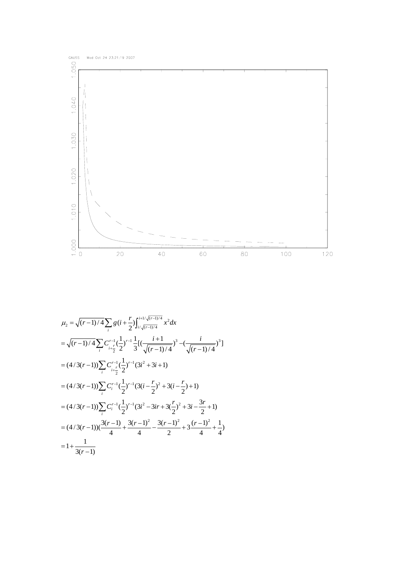

$$
\mu_{2} = \sqrt{(r-1)/4} \sum_{i} g(i + \frac{r}{2}) \int_{i/\sqrt{(r-1)/4}}^{i+1/\sqrt{(r-1)/4}} x^{2} dx
$$
  
\n
$$
= \sqrt{(r-1)/4} \sum_{i} C_{i+\frac{r}{2}}^{r-1} (\frac{1}{2})^{r-1} \frac{1}{3} [(\frac{i+1}{\sqrt{(r-1)/4}})^{3} - (\frac{i}{\sqrt{(r-1)/4}})^{3}]
$$
  
\n
$$
= (4/3(r-1)) \sum_{i} C_{i+\frac{r}{2}}^{r-1} (\frac{1}{2})^{r-1} (3i^{2} + 3i + 1)
$$
  
\n
$$
= (4/3(r-1)) \sum_{i} C_{i}^{r-1} (\frac{1}{2})^{r-1} (3(i - \frac{r}{2})^{2} + 3(i - \frac{r}{2}) + 1)
$$
  
\n
$$
= (4/3(r-1)) \sum_{i} C_{i}^{r-1} (\frac{1}{2})^{r-1} (3i^{2} - 3ir + 3(\frac{r}{2})^{2} + 3i - \frac{3r}{2} + 1)
$$
  
\n
$$
= (4/3(r-1)) (\frac{3(r-1)}{4} + \frac{3(r-1)^{2}}{4} - \frac{3(r-1)^{2}}{2} + 3\frac{(r-1)^{2}}{4} + \frac{1}{4})
$$
  
\n
$$
= 1 + \frac{1}{3(r-1)}
$$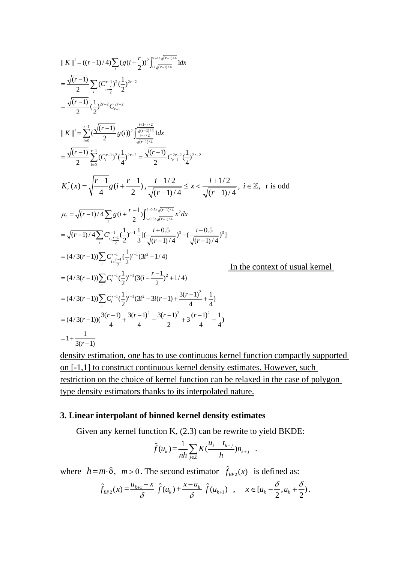$$
|| K ||^{2} = ((r-1)/4) \sum_{i} (g(i + \frac{r}{2}))^{2} \int_{i/\sqrt{(r-1)/4}}^{i+i/\sqrt{(r-1)/4}} I dx
$$
  
\n
$$
= \frac{\sqrt{(r-1)}}{2} \sum_{i} (C_{i+\frac{r}{2}}^{r-1})^{2} (\frac{1}{2})^{2r-2}
$$
  
\n
$$
= \frac{\sqrt{(r-1)}}{2} (\frac{1}{2})^{2r-2} C_{i-1}^{2r-2}
$$
  
\n
$$
|| K ||^{2} = \sum_{i=0}^{r-1} (\frac{\sqrt{(r-1)}}{2} g(i))^{2} \int_{\frac{\sqrt{(r-1)/4}}{\sqrt{(r-1)/4}}}^{\frac{i+1-r/2}{(r-1)/4}} I dx
$$
  
\n
$$
= \frac{\sqrt{(r-1)}}{2} \sum_{i=0}^{r-1} (C_{i}^{r-1})^{2} (\frac{1}{4})^{2r-2} = \frac{\sqrt{(r-1)}}{2} C_{i-1}^{2r-2} (\frac{1}{4})^{2r-2}
$$
  
\n
$$
K_{r}^{*}(x) = \sqrt{\frac{r-1}{4}} g(i + \frac{r-1}{2}), \frac{i-1/2}{\sqrt{(r-1)/4}} \le x < \frac{i+1/2}{\sqrt{(r-1)/4}}, i \in \mathbb{Z}, \text{ r is odd}
$$
  
\n
$$
\mu_{2} = \sqrt{(r-1)/4} \sum_{i} g(i + \frac{r-1}{2}) \int_{i-0.5/\sqrt{(r-1)/4}}^{i+0.5/\sqrt{(r-1)/4}} x^{2} dx
$$
  
\n
$$
= \sqrt{(r-1)/4} \sum_{i} C_{i+\frac{r-1}{2}}^{r-1} (\frac{1}{2})^{r-1} \frac{1}{3} (\frac{i+0.5}{\sqrt{(r-1)/4}})^{3} - (\frac{i-0.5}{\sqrt{(r-1)/4}})^{3}]
$$
  
\n= (4/3(r-1))  $\sum_{i} C_{i+\frac{r-1}{2}}^{r-1} (\frac{1}{2})^{r-1} (3i^{2} + 1/4)$   
\n
$$
= (4/3(r-1)) \sum_{i} C_{i}^{r-1} (\frac{1}{2})^{r-1} (3i^{2
$$

density estimation, one has to use continuous kernel function compactly supported on [-1,1] to construct continuous kernel density estimates. However, such restriction on the choice of kernel function can be relaxed in the case of polygon type density estimators thanks to its interpolated nature.

## **3. Linear interpolant of binned kernel density estimates**

Given any kernel function K, (2.3) can be rewrite to yield BKDE:

$$
\hat{f}(u_k) = \frac{1}{nh} \sum_{j \in \mathbb{Z}} K(\frac{u_k - t_{k+j}}{h}) n_{k+j} .
$$

where  $h = m \cdot \delta$ ,  $m > 0$ . The second estimator  $\hat{f}_{BP_2}(x)$  is defined as:

$$
\hat{f}_{BP2}(x) = \frac{u_{k+1} - x}{\delta} \hat{f}(u_k) + \frac{x - u_k}{\delta} \hat{f}(u_{k+1}), \quad x \in [u_k - \frac{\delta}{2}, u_k + \frac{\delta}{2}).
$$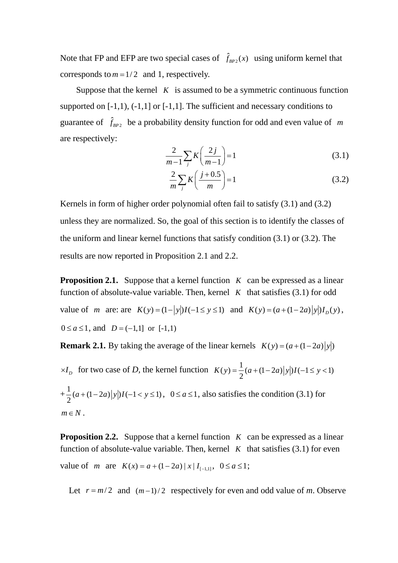Note that FP and EFP are two special cases of  $\hat{f}_{BP_2}(x)$  using uniform kernel that corresponds to  $m = 1/2$  and 1, respectively.

Suppose that the kernel *K* is assumed to be a symmetric continuous function supported on  $[-1,1)$ ,  $(-1,1]$  or  $[-1,1]$ . The sufficient and necessary conditions to guarantee of  $\hat{f}_{BP_2}$  be a probability density function for odd and even value of m are respectively:

$$
\frac{2}{m-1}\sum_{j}K\left(\frac{2j}{m-1}\right) = 1\tag{3.1}
$$

$$
\frac{2}{m}\sum_{j} K\left(\frac{j+0.5}{m}\right) = 1\tag{3.2}
$$

Kernels in form of higher order polynomial often fail to satisfy (3.1) and (3.2) unless they are normalized. So, the goal of this section is to identify the classes of the uniform and linear kernel functions that satisfy condition (3.1) or (3.2). The results are now reported in Proposition 2.1 and 2.2.

**Proposition 2.1.** Suppose that a kernel function *K* can be expressed as a linear function of absolute-value variable. Then, kernel  $K$  that satisfies (3.1) for odd value of *m* are: are  $K(y) = (1 - |y|)I(-1 \le y \le 1)$  and  $K(y) = (a + (1 - 2a)|y|)I_D(y)$ ,  $0 \le a \le 1$ , and  $D = (-1,1]$  or  $[-1,1]$ 

**Remark 2.1.** By taking the average of the linear kernels  $K(y) = (a + (1 - 2a)|y|)$ 

 $\langle X I_p \rangle$  for two case of *D*, the kernel function  $K(y) = \frac{1}{2}(a + (1 - 2a)|y|)I(-1 \le y < 1)$  $+\frac{1}{2}(a+(1-2a)|y|)I(-1 < y \le 1)$ ,  $0 \le a \le 1$ , also satisfies the condition (3.1) for  $m \in N$ .

**Proposition 2.2.** Suppose that a kernel function *K* can be expressed as a linear function of absolute-value variable. Then, kernel  $K$  that satisfies (3.1) for even value of *m* are  $K(x) = a + (1-2a) |x| I_{[-1,1]}, 0 \le a \le 1;$ 

Let  $r = m/2$  and  $(m-1)/2$  respectively for even and odd value of *m*. Observe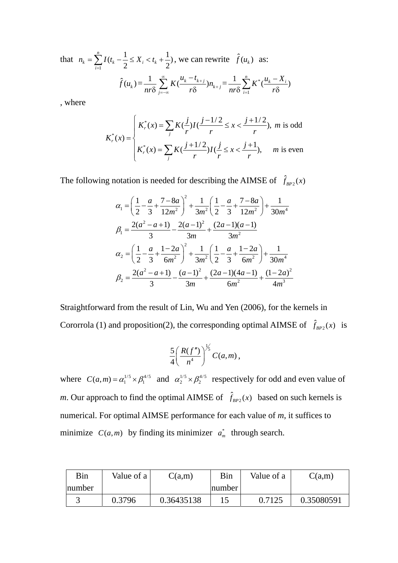that  $\sum_{i=1}^{n} I(t_k - \frac{1}{2} \leq X_i < t_k + \frac{1}{2})$  $k = \sum_{k} k_{k}$   $\sum_{k} \Delta_{k}^{k}$ *i*  $n_k = \sum I(t_k - \frac{1}{2} \le X_i < t$  $=\sum_{i=1}^{n} I(t_k - \frac{1}{2} \le X_i < t_k + \frac{1}{2})$ , we can rewrite  $\hat{f}(u_k)$  as:  $\hat{f}(u_k) = \frac{1}{s} \sum_{k=0}^{\infty} K(\frac{u_k - t_{k+j}}{s}) n_{k+j}$ *j*  $u_k - t$  $K(\frac{K(k+1)}{2})n$  $nr\delta \sum_{i=-\infty}^{\infty} r$  $\sum_{k=1}^{\infty} u_k - t_{k+1}$ + =−∞  $\sum_{j=-\infty}^{\infty} K(\frac{u_k - t_{k+j}}{r\delta}) n_{k+j} = \frac{1}{nr\delta} \sum_{i=1}^{n} K^*$  $\frac{1}{2} \sum_{k=1}^{n} K^{*} (\frac{u_{k} - X_{i}}{2})$ *i*  $K^*$   $\frac{u_k - X}{2}$  $nr\delta \sum_{i=1}^{n} r$  $-\frac{\sum\limits_{i=1}^n K^* (\frac{u_k}{r\delta})^2}{r\delta}$ 

, where

$$
K_r^*(x) = \begin{cases} K_r^*(x) = \sum_j K(\frac{j}{r}) I(\frac{j-1/2}{r} \le x < \frac{j+1/2}{r}), \ m \text{ is odd} \\ K_r^*(x) = \sum_j K(\frac{j+1/2}{r}) I(\frac{j}{r} \le x < \frac{j+1}{r}), \quad m \text{ is even} \end{cases}
$$

The following notation is needed for describing the AIMSE of  $\hat{f}_{BP_2}(x)$ 

$$
\alpha_1 = \left(\frac{1}{2} - \frac{a}{3} + \frac{7 - 8a}{12m^2}\right)^2 + \frac{1}{3m^2} \left(\frac{1}{2} - \frac{a}{3} + \frac{7 - 8a}{12m^2}\right) + \frac{1}{30m^4}
$$
  
\n
$$
\beta_1 = \frac{2(a^2 - a + 1)}{3} - \frac{2(a - 1)^2}{3m} + \frac{(2a - 1)(a - 1)}{3m^2}
$$
  
\n
$$
\alpha_2 = \left(\frac{1}{2} - \frac{a}{3} + \frac{1 - 2a}{6m^2}\right)^2 + \frac{1}{3m^2} \left(\frac{1}{2} - \frac{a}{3} + \frac{1 - 2a}{6m^2}\right) + \frac{1}{30m^4}
$$
  
\n
$$
\beta_2 = \frac{2(a^2 - a + 1)}{3} - \frac{(a - 1)^2}{3m} + \frac{(2a - 1)(4a - 1)}{6m^2} + \frac{(1 - 2a)^2}{4m^3}
$$

Cororrola (1) and proposition(2), the corresponding optimal AIMSE of  $\hat{f}_{BP_2}(x)$  is Straightforward from the result of Lin, Wu and Yen (2006), for the kernels in

$$
\frac{5}{4}\left(\frac{R(f'')}{n^4}\right)^{\frac{1}{5}}C(a,m),
$$

where  $C(a,m) = \alpha_1^{1/5} \times \beta_1^{4/5}$  and  $\alpha_2^{1/5} \times \beta_2^{4/5}$  respectively for odd and even value of *m*. Our approach to find the optimal AIMSE of  $\hat{f}_{BP_2}(x)$  based on such kernels is numerical. For optimal AIMSE performance for each value of *m*, it suffices to minimize  $C(a, m)$  by finding its minimizer  $a_m^*$  through search.

| Bin    | Value of a | C(a,m)     | Bin    | Value of a | C(a,m)     |  |
|--------|------------|------------|--------|------------|------------|--|
| number |            |            | number |            |            |  |
|        | 0.3796     | 0.36435138 |        | 0.7125     | 0.35080591 |  |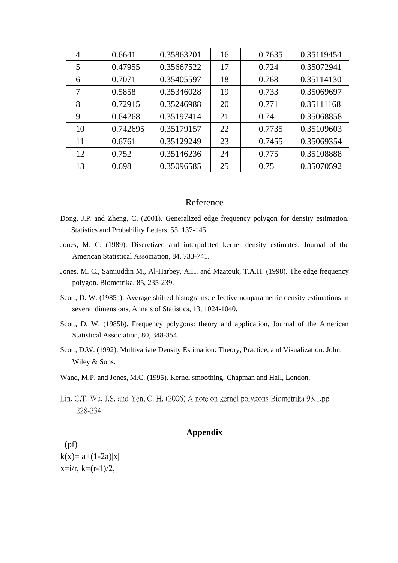| 4  | 0.6641   | 0.35863201 | 16 | 0.7635 | 0.35119454 |
|----|----------|------------|----|--------|------------|
| 5  | 0.47955  | 0.35667522 | 17 | 0.724  | 0.35072941 |
| 6  | 0.7071   | 0.35405597 | 18 | 0.768  | 0.35114130 |
| 7  | 0.5858   | 0.35346028 | 19 | 0.733  | 0.35069697 |
| 8  | 0.72915  | 0.35246988 | 20 | 0.771  | 0.35111168 |
| 9  | 0.64268  | 0.35197414 | 21 | 0.74   | 0.35068858 |
| 10 | 0.742695 | 0.35179157 | 22 | 0.7735 | 0.35109603 |
| 11 | 0.6761   | 0.35129249 | 23 | 0.7455 | 0.35069354 |
| 12 | 0.752    | 0.35146236 | 24 | 0.775  | 0.35108888 |
| 13 | 0.698    | 0.35096585 | 25 | 0.75   | 0.35070592 |

### Reference

- Dong, J.P. and Zheng, C. (2001). Generalized edge frequency polygon for density estimation. Statistics and Probability Letters, 55, 137-145.
- Jones, M. C. (1989). Discretized and interpolated kernel density estimates. Journal of the American Statistical Association, 84, 733-741.
- Jones, M. C., Samiuddin M., Al-Harbey, A.H. and Maatouk, T.A.H. (1998). The edge frequency polygon. Biometrika, 85, 235-239.
- Scott, D. W. (1985a). Average shifted histograms: effective nonparametric density estimations in several dimensions, Annals of Statistics, 13, 1024-1040.
- Scott, D. W. (1985b). Frequency polygons: theory and application, Journal of the American Statistical Association, 80, 348-354.
- Scott, D.W. (1992). Multivariate Density Estimation: Theory, Practice, and Visualization. John, Wiley & Sons.
- Wand, M.P. and Jones, M.C. (1995). Kernel smoothing, Chapman and Hall, London.
- Lin, C.T. Wu, J.S. and Yen, C. H. (2006) A note on kernel polygons Biometrika 93,1,pp. 228-234

# **Appendix**

 (pf)  $k(x)=a+(1-2a)|x|$  $x=i/r$ ,  $k=(r-1)/2$ ,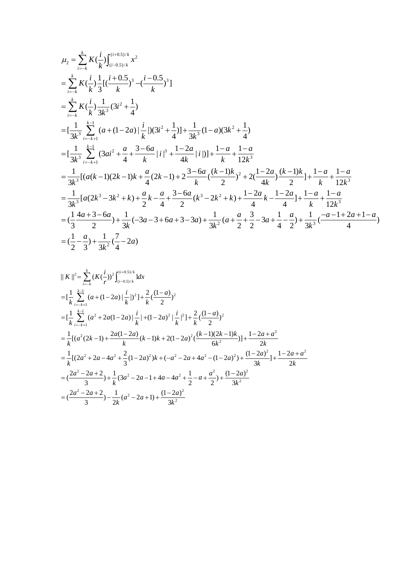$$
\mu_{2} = \sum_{i=k}^{k} K(\frac{i}{k}) \int_{(i-0.5)/k}^{(i+0.5)/k} x^{2}
$$
\n
$$
= \sum_{i=k}^{k} K(\frac{i}{k}) \frac{1}{3k} [(\frac{i+0.5}{k})^{3} - (\frac{i-0.5}{k})^{3}]
$$
\n
$$
= \sum_{i=k}^{k} K(\frac{i}{k}) \frac{1}{3k^{3}} (3i^{2} + \frac{1}{4})
$$
\n
$$
= [\frac{1}{3k^{3}} \sum_{i=-k+1}^{k-1} (3ai^{2} + \frac{a}{4} + \frac{3-6a}{k} |i|^{3} + \frac{1-2a}{4k} |i|)] + \frac{1-a}{k} + \frac{1-a}{12k^{3}}
$$
\n
$$
= \frac{1}{3k^{3}} [((a(k-1)(2k-1)k) + \frac{a}{4}(2k-1) + 2\frac{3-6a}{k} (\frac{k-1)k}{2})^{2} + 2(\frac{1-2a}{4k}) \frac{(k-1)k}{2} + \frac{1-a}{k} + \frac{1-a}{12k^{3}}
$$
\n
$$
= \frac{1}{3k^{3}} [a(2k^{3} - 3k^{2} + k) + \frac{a}{2}k - \frac{a}{4} + \frac{3-6a}{2} (k^{3} - 2k^{2} + k) + \frac{1-2a}{4}k - \frac{1-2a}{4} + \frac{1-a}{k} + \frac{1-a}{12k^{3}}
$$
\n
$$
= (\frac{1}{3} \frac{4a+3-6a}{2}) + \frac{1}{3k} (-3a-3+6a+3-3a) + \frac{1}{3k^{2}} (a + \frac{a}{2} + \frac{3}{2} - 3a + \frac{1}{4} - \frac{a}{2}) + \frac{1}{3k^{3}} (\frac{-a-1+2a+1-a}{4})
$$
\n
$$
= (\frac{1}{2} - \frac{a}{3}) + \frac{1}{3k^{2}} (\frac{7}{4} - 2a)
$$

$$
|| K ||^{2} = \sum_{i=-k}^{k} (K(\frac{i}{r}))^{2} \int_{(i-0.5)/k}^{(i+0.5)/k} 1 dx
$$
  
\n
$$
= [\frac{1}{k} \sum_{i=-k+1}^{k-1} (a + (1-2a) \frac{i}{k})^{2}] + \frac{2}{k} (\frac{(1-a)}{2})^{2}
$$
  
\n
$$
= [\frac{1}{k} \sum_{i=-k+1}^{k-1} (a^{2} + 2a(1-2a) \frac{i}{k}] + (1-2a)^{2} \frac{i}{k}]^{2}] + \frac{2}{k} (\frac{(1-a)}{2})^{2}
$$
  
\n
$$
= \frac{1}{k} [(a^{2}(2k-1) + \frac{2a(1-2a)}{k}) (k-1)k + 2(1-2a)^{2} (\frac{(k-1)(2k-1)k}{6k^{2}})] + \frac{1-2a+a^{2}}{2k}
$$
  
\n
$$
= \frac{1}{k} [(2a^{2} + 2a - 4a^{2} + \frac{2}{3}(1-2a)^{2})k + (-a^{2} - 2a + 4a^{2} - (1-2a)^{2}) + \frac{(1-2a)^{2}}{3k}] + \frac{1-2a+a^{2}}{2k}
$$
  
\n
$$
= (\frac{2a^{2} - 2a + 2}{3}) + \frac{1}{k} (3a^{2} - 2a - 1 + 4a - 4a^{2} + \frac{1}{2} - a + \frac{a^{2}}{2}) + \frac{(1-2a)^{2}}{3k^{2}}
$$
  
\n
$$
= (\frac{2a^{2} - 2a + 2}{3}) - \frac{1}{2k} (a^{2} - 2a + 1) + \frac{(1-2a)^{2}}{3k^{2}}
$$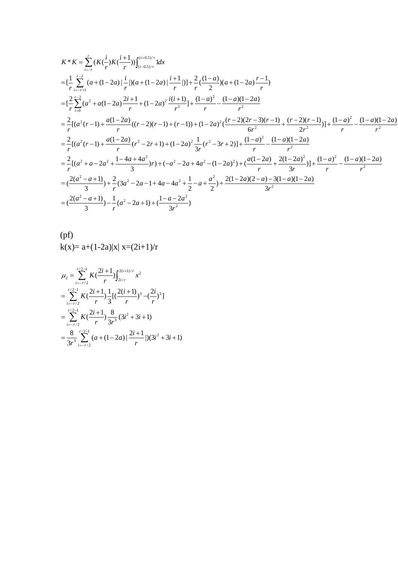$$
K * K = \sum_{i=-r}^{r} (K(\frac{i}{r})K(\frac{i+1}{r})) \int_{(i-0.5)/r}^{(i+0.5)/r} 1 dx
$$
  
\n
$$
= [\frac{1}{r} \sum_{i=-r+1}^{r-2} (a+(1-2a)) \frac{i}{r}|(a+(1-2a)) \frac{i+1}{r}|) + \frac{2}{r} (\frac{(1-a)}{2})(a+(1-2a)) \frac{r-1}{r})
$$
  
\n
$$
= [\frac{2}{r} \sum_{i=0}^{r-2} (a^2+a(1-2a) \frac{2i+1}{r}+(1-2a)^2 \frac{i(i+1)}{r^2}] + \frac{(1-a)^2}{r} - \frac{(1-a)(1-2a)}{r^2}
$$
  
\n
$$
= \frac{2}{r} [ (a^2(r-1) + \frac{a(1-2a)}{r} (r-2)(r-1) + (r-1)) + (1-2a)^2 (\frac{(r-2)(2r-3)(r-1)}{6r^2} + \frac{(r-2)(r-1)}{2r^2})] + \frac{(1-a)^2}{r} - \frac{(1-a)(1-2a)}{r^2}
$$
  
\n
$$
= \frac{2}{r} [(a^2(r-1) + \frac{a(1-2a)}{r} (r^2-2r+1) + (1-2a)^2 \frac{1}{3r} (r^2-3r+2)] + \frac{(1-a)^2}{r} - \frac{(1-a)(1-2a)}{r^2}
$$
  
\n
$$
= \frac{2}{r} [(a^2+a-2a^2 + \frac{1-4a+4a^2}{3})r) + (-a^2-2a+4a^2 - (1-2a)^2) + (\frac{a(1-2a)}{r} + \frac{2(1-2a)^2}{3r})] + \frac{(1-a)^2}{r} - \frac{(1-a)(1-2a)}{r^2}
$$
  
\n
$$
= (\frac{2(a^2-a+1)}{3}) + \frac{2}{r} (3a^2-2a-1+4a-4a^2 + \frac{1}{2}-a+\frac{a^2}{2}) + \frac{2(1-2a)(2-a)-3(1-a)(1-2a)}{3r^2}
$$
  
\n
$$
= (\frac{2(a^2-a+1)}{3}) - \frac{1}{r} (a^2
$$

$$
\begin{aligned} \n\text{(pf)}\\ \n\mathbf{k}(\mathbf{x}) &= \mathbf{a} + (1 - 2\mathbf{a})|\mathbf{x}| \mathbf{x} = (2\mathbf{i} + 1)/\mathbf{r} \n\end{aligned}
$$

$$
\mu_2 = \sum_{i=r/2}^{r/2-1} K \left(\frac{2i+1}{r}\right) \int_{2i/r}^{2(i+1)/r} x^2
$$
  
\n
$$
= \sum_{i=r/2}^{r/2-1} K \left(\frac{2i+1}{r}\right) \frac{1}{3} \left[\left(\frac{2(i+1)}{r}\right)^3 - \left(\frac{2i}{r}\right)^3\right]
$$
  
\n
$$
= \sum_{i=r/2}^{r/2-1} K \left(\frac{2i+1}{r}\right) \frac{8}{3r^3} (3i^2 + 3i + 1)
$$
  
\n
$$
= \frac{8}{3r^3} \sum_{i=r/2}^{r/2-1} (a + (1 - 2a)) \frac{2i+1}{r} \left[ (3i^2 + 3i + 1) \right]
$$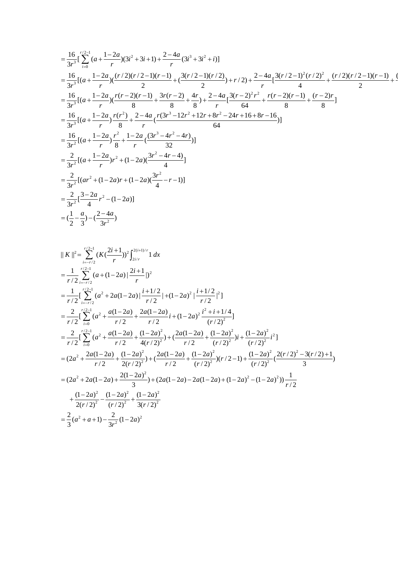$$
\begin{split}\n&=\frac{16}{3r^3}[\sum_{i=0}^{r/2-1}(a+\frac{1-2a}{r})(3i^2+3i+1)+\frac{2-4a}{r}(3i^3+3i^2+i)] \\
&=\frac{16}{3r^3}[(a+\frac{1-2a}{r})(\frac{(r/2)(r/2-1)(r-1)}{2}+(\frac{3(r/2-1)(r/2)}{2})+r/2)+\frac{2-4a}{r}[\frac{3(r/2-1)^2(r/2)^2}{4}+(\frac{(r/2)(r/2-1)(r-1)}{2}+\frac{(r/2)(r/2-1)(r-1)}{2}+\frac{(r/2)(r/2-1)(r-1)}{2}+\frac{(r/2)(r/2-1)(r-1)}{2}+\frac{(r/2)(r/2-1)(r-1)}{2}+\frac{(r/2)(r/2-1)(r-1)}{2}+\frac{(r/2)(r/2-1)(r-1)}{2}+\frac{(r/2)(r/2-1)(r-1)}{8}+\frac{(r/2)(r/2-1)(r-1)}{8}+\frac{(r/2)(r/2-1)(r-1)}{8}+\frac{(r/2)(r/2-1)(r-1)}{8}+\frac{(r/2)(r/2-1)(r-1)}{8}+\frac{(r/2)(r/2-1)(r-1)}{8}+\frac{(r/2)(r/2-1)(r-1)}{8}+\frac{(r/2)(r/2-1)(r-1)}{8}+\frac{(r/2)(r/2-1)(r/2)}{8}+\frac{(r/2)(r/2-1)(r/2-1)(r/2)}{8}+\frac{(r/2)(r/2-1)(r/2-1)(r/2-1)}{8}+\frac{(r/2)(r/2-1)(r/2-1)(r/2-1)}{8}+\frac{(r/2)(r/2-1)(r/2-1)(r/2-1)(r/2-1)}{8}+\frac{(r/2)(r/2-1)(r/2-1)(r/2-1)(r/2-1)}{8}+\frac{(r/2)(r/2-1)(r/2-1)(r/2-1)(r/2-1)(r/2-1)}{8}+\frac{(r/2)(r/2-1)(r/2-1)(r/2-1)(r/2-1)(r/2-1)}{8}+\frac{(r/2)(r/2-1)(r/2-1)(r/2-1)(r/2-1)(r/2-1)(r/2
$$

$$
|| K ||^{2} = \sum_{i=r/2}^{r/2-1} (K(\frac{2i+1}{r}))^{2} \int_{2i/r}^{2(i+1)/r} 1 dx
$$
  
\n
$$
= \frac{1}{r/2} \sum_{i=r/2}^{r/2-1} (a + (1-2a)) \frac{2i+1}{r} D^{2}
$$
  
\n
$$
= \frac{1}{r/2} [\sum_{i=r/2}^{r/2-1} (a^{2} + 2a(1-2a)) \frac{i+1/2}{r/2}] + (1-2a)^{2} \frac{i+1/2}{r/2}]^{2}
$$
  
\n
$$
= \frac{2}{r/2} [\sum_{i=0}^{r/2-1} (a^{2} + \frac{a(1-2a)}{r/2} + \frac{2a(1-2a)}{r/2}i + (1-2a)^{2} \frac{i^{2}+i+1/4}{(r/2)^{2}}]
$$
  
\n
$$
= \frac{2}{r/2} [\sum_{i=0}^{r/2-1} (a^{2} + \frac{a(1-2a)}{r/2} + \frac{(1-2a)^{2}}{4(r/2)^{2}}) + (\frac{2a(1-2a)}{r/2} + \frac{(1-2a)^{2}}{(r/2)^{2}})i + \frac{(1-2a)^{2}}{(r/2)^{2}}i^{2}]
$$
  
\n
$$
= (2a^{2} + \frac{2a(1-2a)}{r/2} + \frac{(1-2a)^{2}}{2(r/2)^{2}}) + (2a(1-2a) + \frac{(1-2a)^{2}}{(r/2)^{2}})(r/2-1) + \frac{(1-2a)^{2}}{(r/2)^{2}}(\frac{2(r/2)^{2}-3(r/2)+1}{3})
$$
  
\n
$$
= (2a^{2} + 2a(1-2a) + \frac{2(1-2a)^{2}}{3}) + (2a(1-2a) - 2a(1-2a) + (1-2a)^{2} - (1-2a)^{2})) \frac{1}{r/2}
$$
  
\n
$$
+ \frac{(1-2a)^{2}}{2(r/2)^{2}} - \frac{(1-2a)^{2}}{(r/2)^{2}} + \frac{(1-2a)^{2}}{3(r/2)^{2}}
$$
  
\n<